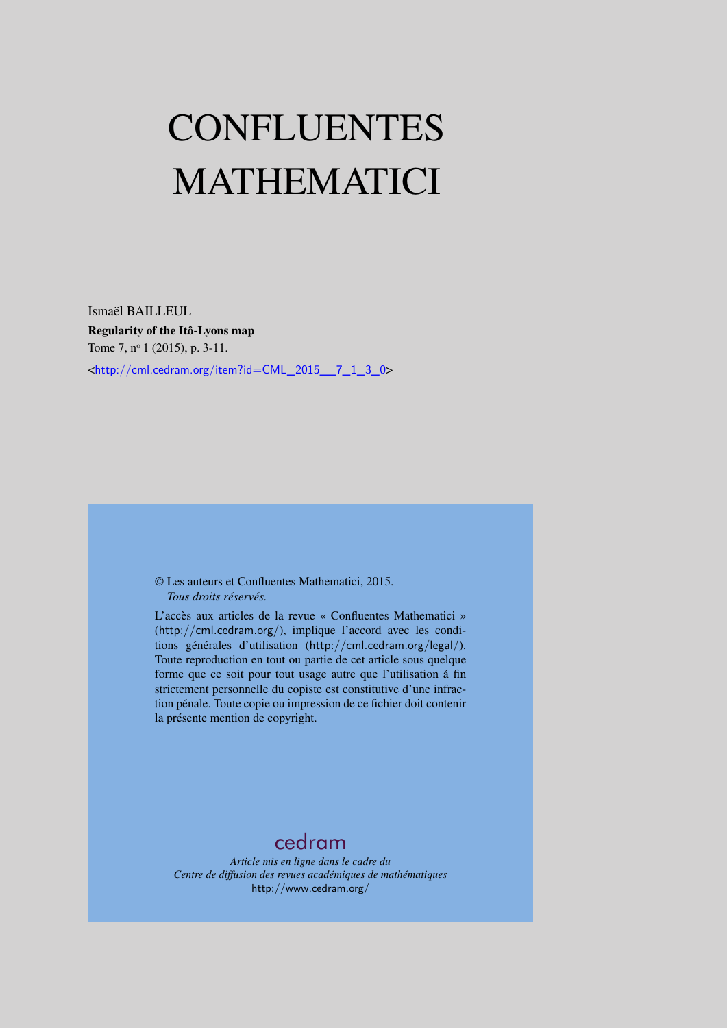# CONFLUENTES MATHEMATICI

Ismaël BAILLEUL Regularity of the Itô-Lyons map Tome 7, nº 1 (2015), p. 3-11. <[http://cml.cedram.org/item?id=CML\\_2015\\_\\_7\\_1\\_3\\_0](http://cml.cedram.org/item?id=CML_2015__7_1_3_0)>

> © Les auteurs et Confluentes Mathematici, 2015. *Tous droits réservés.*

L'accès aux articles de la revue « Confluentes Mathematici » (<http://cml.cedram.org/>), implique l'accord avec les conditions générales d'utilisation (<http://cml.cedram.org/legal/>). Toute reproduction en tout ou partie de cet article sous quelque forme que ce soit pour tout usage autre que l'utilisation á fin strictement personnelle du copiste est constitutive d'une infraction pénale. Toute copie ou impression de ce fichier doit contenir la présente mention de copyright.

## [cedram](http://www.cedram.org/)

*Article mis en ligne dans le cadre du Centre de diffusion des revues académiques de mathématiques* <http://www.cedram.org/>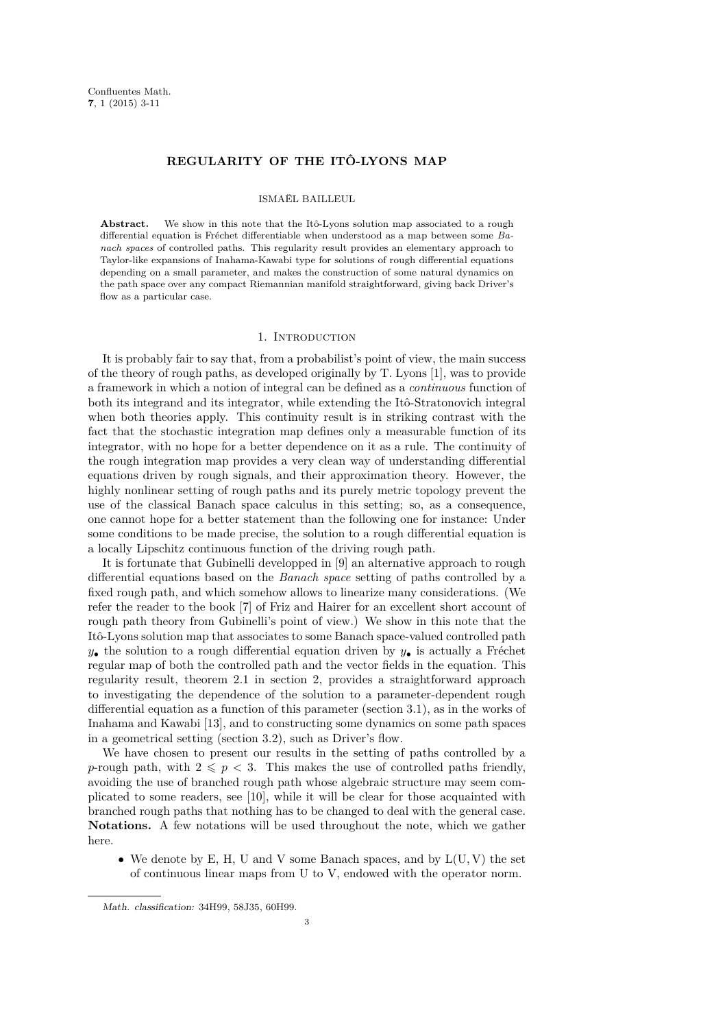## **REGULARITY OF THE ITÔ-LYONS MAP**

## ISMAËL BAILLEUL

Abstract. We show in this note that the Itô-Lyons solution map associated to a rough differential equation is Fréchet differentiable when understood as a map between some *Banach spaces* of controlled paths. This regularity result provides an elementary approach to Taylor-like expansions of Inahama-Kawabi type for solutions of rough differential equations depending on a small parameter, and makes the construction of some natural dynamics on the path space over any compact Riemannian manifold straightforward, giving back Driver's flow as a particular case.

## 1. INTRODUCTION

It is probably fair to say that, from a probabilist's point of view, the main success of the theory of rough paths, as developed originally by T. Lyons [\[1\]](#page-9-0), was to provide a framework in which a notion of integral can be defined as a *continuous* function of both its integrand and its integrator, while extending the Itô-Stratonovich integral when both theories apply. This continuity result is in striking contrast with the fact that the stochastic integration map defines only a measurable function of its integrator, with no hope for a better dependence on it as a rule. The continuity of the rough integration map provides a very clean way of understanding differential equations driven by rough signals, and their approximation theory. However, the highly nonlinear setting of rough paths and its purely metric topology prevent the use of the classical Banach space calculus in this setting; so, as a consequence, one cannot hope for a better statement than the following one for instance: Under some conditions to be made precise, the solution to a rough differential equation is a locally Lipschitz continuous function of the driving rough path.

It is fortunate that Gubinelli developped in [\[9\]](#page-9-1) an alternative approach to rough differential equations based on the *Banach space* setting of paths controlled by a fixed rough path, and which somehow allows to linearize many considerations. (We refer the reader to the book [\[7\]](#page-9-2) of Friz and Hairer for an excellent short account of rough path theory from Gubinelli's point of view.) We show in this note that the Itô-Lyons solution map that associates to some Banach space-valued controlled path  $y_{\bullet}$  the solution to a rough differential equation driven by  $y_{\bullet}$  is actually a Fréchet regular map of both the controlled path and the vector fields in the equation. This regularity result, theorem [2.1](#page-3-0) in section [2,](#page-2-0) provides a straightforward approach to investigating the dependence of the solution to a parameter-dependent rough differential equation as a function of this parameter (section [3.1\)](#page-5-0), as in the works of Inahama and Kawabi [\[13\]](#page-9-3), and to constructing some dynamics on some path spaces in a geometrical setting (section [3.2\)](#page-6-0), such as Driver's flow.

We have chosen to present our results in the setting of paths controlled by a *p*-rough path, with  $2 \leq p < 3$ . This makes the use of controlled paths friendly, avoiding the use of branched rough path whose algebraic structure may seem complicated to some readers, see [\[10\]](#page-9-4), while it will be clear for those acquainted with branched rough paths that nothing has to be changed to deal with the general case. **Notations.** A few notations will be used throughout the note, which we gather here.

• We denote by E, H, U and V some Banach spaces, and by L(U*,* V) the set of continuous linear maps from U to V, endowed with the operator norm.

Math. classification: 34H99, 58J35, 60H99.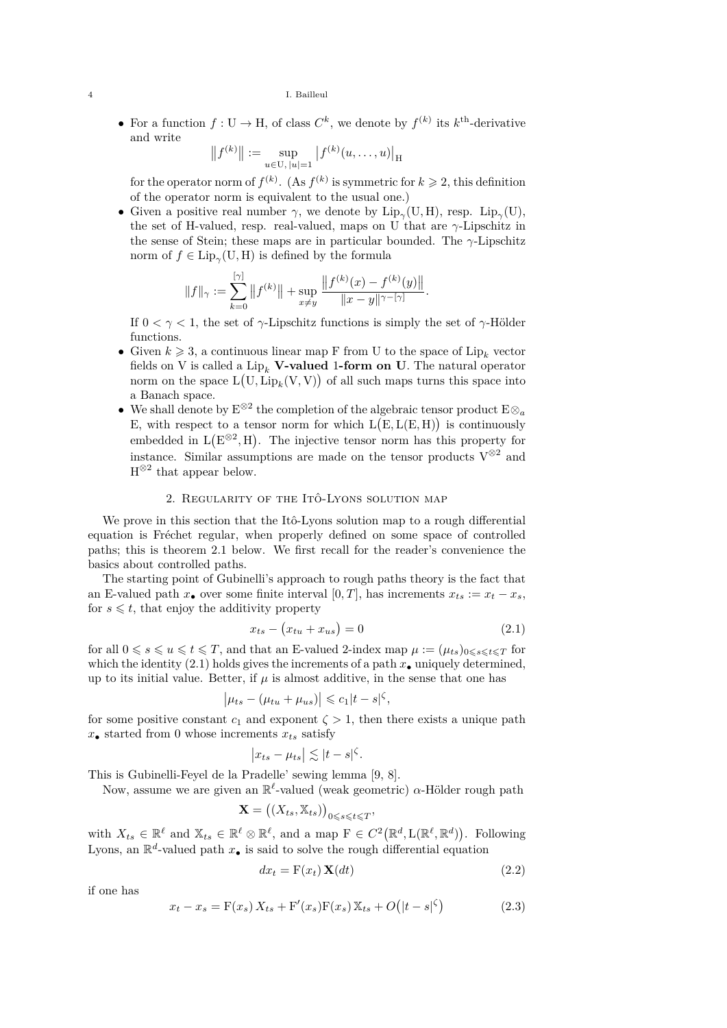• For a function  $f: U \to H$ , of class  $C^k$ , we denote by  $f^{(k)}$  its  $k^{\text{th}}$ -derivative and write

$$
||f^{(k)}|| := \sup_{u \in U, |u| = 1} |f^{(k)}(u, \dots, u)|_{H}
$$

for the operator norm of  $f^{(k)}$ . (As  $f^{(k)}$  is symmetric for  $k \geq 2$ , this definition of the operator norm is equivalent to the usual one.)

• Given a positive real number  $\gamma$ , we denote by  $\text{Lip}_{\gamma}(U,H)$ , resp.  $\text{Lip}_{\gamma}(U)$ , the set of H-valued, resp. real-valued, maps on U that are *γ*-Lipschitz in the sense of Stein; these maps are in particular bounded. The *γ*-Lipschitz norm of  $f \in \text{Lip}_{\gamma}(\mathbf{U}, \mathbf{H})$  is defined by the formula

$$
||f||_{\gamma} := \sum_{k=0}^{[\gamma]} ||f^{(k)}|| + \sup_{x \neq y} \frac{||f^{(k)}(x) - f^{(k)}(y)||}{||x - y||^{\gamma - [\gamma]}}.
$$

If  $0 \leq \gamma \leq 1$ , the set of  $\gamma$ -Lipschitz functions is simply the set of  $\gamma$ -Hölder functions.

- Given  $k \geq 3$ , a continuous linear map F from U to the space of  $\text{Lip}_k$  vector fields on V is called a  $\text{Lip}_k$  **V-valued 1-form on U**. The natural operator norm on the space  $L(U, Lip_k(V, V))$  of all such maps turns this space into a Banach space.
- We shall denote by  $E^{\otimes 2}$  the completion of the algebraic tensor product  $E \otimes_a$ E, with respect to a tensor norm for which  $L(E, L(E, H))$  is continuously embedded in  $L(E^{\otimes 2}, H)$ . The injective tensor norm has this property for instance. Similar assumptions are made on the tensor products  $V^{\otimes 2}$  and  $H^{\otimes 2}$  that appear below.

## 2. REGULARITY OF THE ITÔ-LYONS SOLUTION MAP

<span id="page-2-0"></span>We prove in this section that the Itô-Lyons solution map to a rough differential equation is Fréchet regular, when properly defined on some space of controlled paths; this is theorem [2.1](#page-3-0) below. We first recall for the reader's convenience the basics about controlled paths.

The starting point of Gubinelli's approach to rough paths theory is the fact that an E-valued path  $x_{\bullet}$  over some finite interval [0, T], has increments  $x_{ts} := x_t - x_s$ , for  $s \leq t$ , that enjoy the additivity property

<span id="page-2-1"></span>
$$
x_{ts} - (x_{tu} + x_{us}) = 0 \tag{2.1}
$$

for all  $0 \le s \le u \le t \le T$ , and that an E-valued 2-index map  $\mu := (\mu_{ts})_{0 \le s \le t \le T}$  for which the identity [\(2.1\)](#page-2-1) holds gives the increments of a path  $x_{\bullet}$  uniquely determined, up to its initial value. Better, if  $\mu$  is almost additive, in the sense that one has

$$
\left|\mu_{ts} - (\mu_{tu} + \mu_{us})\right| \leqslant c_1|t - s|^{\zeta},
$$

for some positive constant  $c_1$  and exponent  $\zeta > 1$ , then there exists a unique path  $x_{\bullet}$  started from 0 whose increments  $x_{ts}$  satisfy

$$
\left|x_{ts}-\mu_{ts}\right| \lesssim |t-s|^{\zeta}.
$$

This is Gubinelli-Feyel de la Pradelle' sewing lemma [\[9,](#page-9-1) [8\]](#page-9-5).

Now, assume we are given an R *`* -valued (weak geometric) *α*-Hölder rough path **X** =

$$
\mathbf{I} = ((X_{ts}, \mathbb{X}_{ts}))_{0 \leqslant s \leqslant t \leqslant T},
$$

with  $X_{ts} \in \mathbb{R}^{\ell}$  and  $\mathbb{X}_{ts} \in \mathbb{R}^{\ell} \otimes \mathbb{R}^{\ell}$ , and a map  $F \in C^2(\mathbb{R}^d, L(\mathbb{R}^{\ell}, \mathbb{R}^d))$ . Following Lyons, an  $\mathbb{R}^d$ -valued path  $x_{\bullet}$  is said to solve the rough differential equation

<span id="page-2-3"></span>
$$
dx_t = \mathbf{F}(x_t) \mathbf{X}(dt) \tag{2.2}
$$

if one has

<span id="page-2-2"></span>
$$
x_t - x_s = F(x_s) X_{ts} + F'(x_s) F(x_s) X_{ts} + O(|t - s|^{\zeta})
$$
\n(2.3)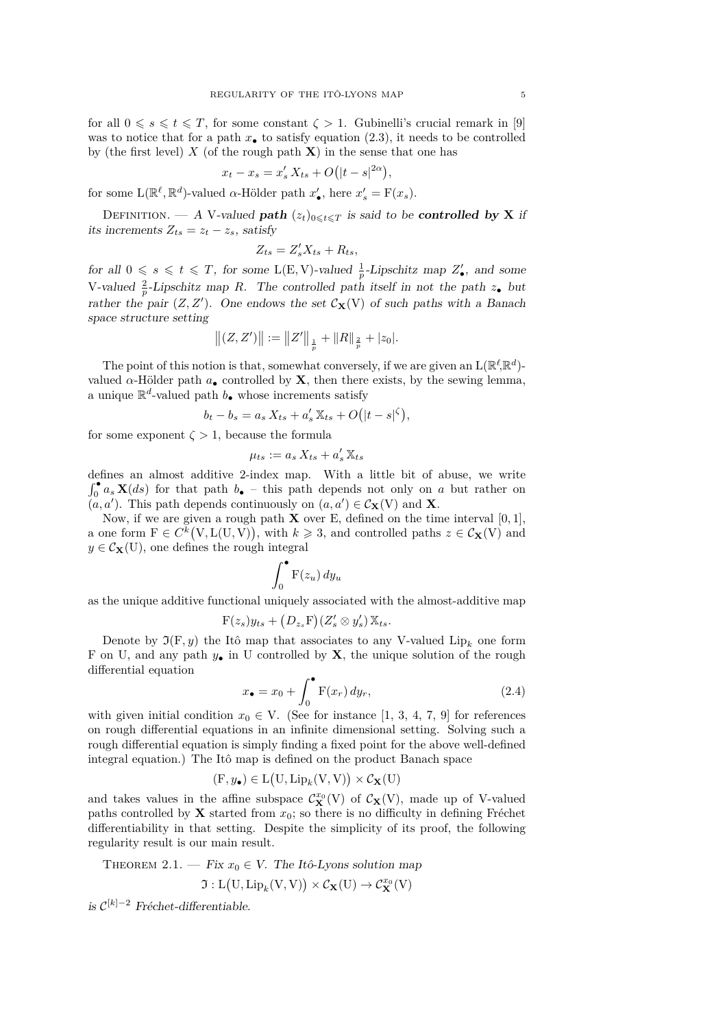for all  $0 \le s \le t \le T$ , for some constant  $\zeta > 1$ . Gubinelli's crucial remark in [\[9\]](#page-9-1) was to notice that for a path  $x_{\bullet}$  to satisfy equation [\(2.3\)](#page-2-2), it needs to be controlled by (the first level)  $X$  (of the rough path  $X$ ) in the sense that one has

$$
x_t - x_s = x'_s X_{ts} + O(|t - s|^{2\alpha}),
$$

for some  $\mathcal{L}(\mathbb{R}^{\ell}, \mathbb{R}^d)$ -valued *α*-Hölder path  $x'_{\bullet}$ , here  $x'_{s} = \mathcal{F}(x_s)$ .

DEFINITION. — A V-valued **path**  $(z_t)_{0 \leq t \leq T}$  is said to be **controlled by X** if its increments  $Z_{ts} = z_t - z_s$ , satisfy

$$
Z_{ts} = Z'_s X_{ts} + R_{ts},
$$

for all  $0 \le s \le t \le T$ , for some L(E, V)-valued  $\frac{1}{p}$ -Lipschitz map  $Z'_{\bullet}$ , and some V-valued  $\frac{2}{p}$ -Lipschitz map *R*. The controlled path itself in not the path  $z_{\bullet}$  but rather the pair  $(Z, Z')$ . One endows the set  $C_{\mathbf{X}}(V)$  of such paths with a Banach space structure setting

$$
||(Z, Z')|| := ||Z'||_{\frac{1}{p}} + ||R||_{\frac{2}{p}} + |z_0|.
$$

The point of this notion is that, somewhat conversely, if we are given an  $L(\mathbb{R}^{\ell}, \mathbb{R}^d)$ valued  $\alpha$ -Hölder path  $a_{\bullet}$  controlled by **X**, then there exists, by the sewing lemma, a unique  $\mathbb{R}^d$ -valued path  $b_{\bullet}$  whose increments satisfy

$$
b_t - b_s = a_s X_{ts} + a'_s X_{ts} + O(|t - s|^{\zeta}),
$$

for some exponent  $\zeta > 1$ , because the formula

$$
\mu_{ts} := a_s X_{ts} + a'_s X_{ts}
$$

defines an almost additive 2-index map. With a little bit of abuse, we write  $\int_0^{\bullet} a_s \mathbf{X}(ds)$  for that path  $b_{\bullet}$  – this path depends not only on *a* but rather on  $(a, a')$ . This path depends continuously on  $(a, a') \in C_{\mathbf{X}}(V)$  and **X**.

Now, if we are given a rough path **X** over E, defined on the time interval  $[0, 1]$ , a one form  $F \in C^{k}(V, L(U, V)),$  with  $k \geq 3$ , and controlled paths  $z \in C_{\mathbf{X}}(V)$  and  $y \in C_{\mathbf{X}}(U)$ , one defines the rough integral

$$
\int_0^\bullet \mathbf{F}(z_u) \, dy_u
$$

as the unique additive functional uniquely associated with the almost-additive map

$$
F(z_s)y_{ts} + (D_{z_s}F)(Z'_s \otimes y'_s) X_{ts}.
$$

Denote by  $\Im(\mathbf{F}, y)$  the Itô map that associates to any V-valued Lip<sub>k</sub> one form F on U, and any path  $y_{\bullet}$  in U controlled by **X**, the unique solution of the rough differential equation

$$
x_{\bullet} = x_0 + \int_0^{\bullet} \mathbf{F}(x_r) \, dy_r,\tag{2.4}
$$

with given initial condition  $x_0 \in V$ . (See for instance [\[1,](#page-9-0) [3,](#page-9-6) [4,](#page-9-7) [7,](#page-9-2) [9\]](#page-9-1) for references on rough differential equations in an infinite dimensional setting. Solving such a rough differential equation is simply finding a fixed point for the above well-defined integral equation.) The Itô map is defined on the product Banach space

$$
(\mathbf{F}, y_{\bullet}) \in \mathcal{L}(\mathbf{U}, \mathrm{Lip}_k(\mathbf{V}, \mathbf{V})) \times \mathcal{C}_{\mathbf{X}}(\mathbf{U})
$$

and takes values in the affine subspace  $\mathcal{C}_{\mathbf{X}}^{x_0}(V)$  of  $\mathcal{C}_{\mathbf{X}}(V)$ , made up of V-valued paths controlled by **X** started from  $x_0$ ; so there is no difficulty in defining Fréchet differentiability in that setting. Despite the simplicity of its proof, the following regularity result is our main result.

<span id="page-3-0"></span>THEOREM 2.1. — Fix  $x_0 \in V$ . The Itô-Lyons solution map

$$
\mathfrak{I}:L\big(U,\operatorname{Lip}_k(V,V)\big)\times\mathcal{C}_{\mathbf{X}}(U)\rightarrow\mathcal{C}_{\mathbf{X}}^{x_0}(V)
$$

is C [*k*]−<sup>2</sup> Fréchet-differentiable.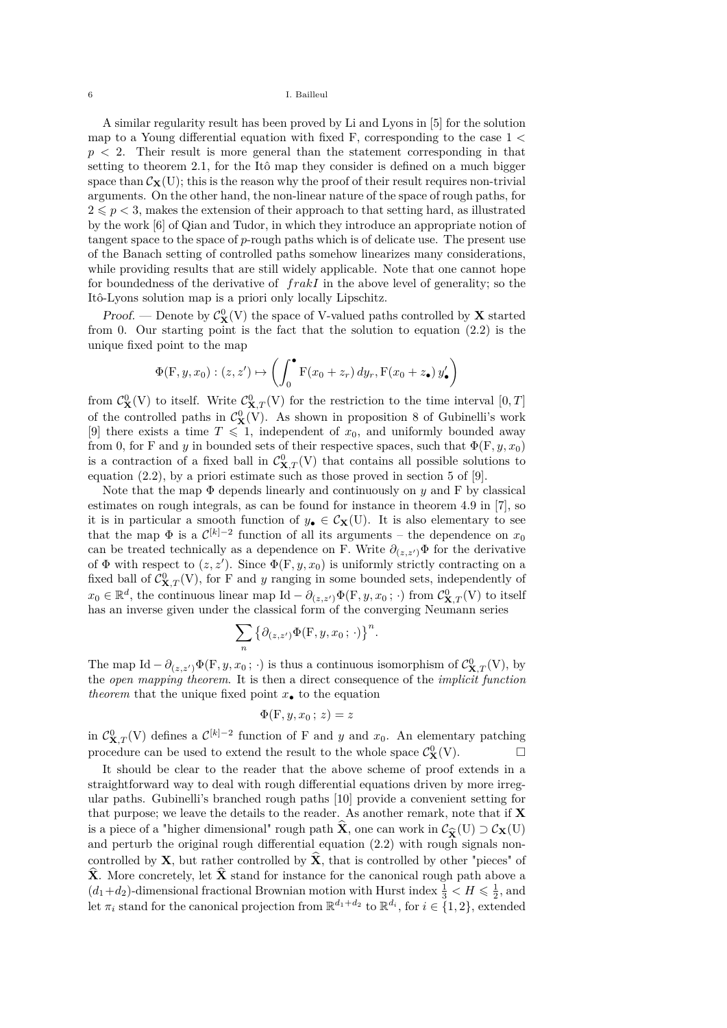A similar regularity result has been proved by Li and Lyons in [\[5\]](#page-9-8) for the solution map to a Young differential equation with fixed F, corresponding to the case 1 *<*  $p < 2$ . Their result is more general than the statement corresponding in that setting to theorem [2.1,](#page-3-0) for the Itô map they consider is defined on a much bigger space than  $\mathcal{C}_{\mathbf{X}}(U)$ ; this is the reason why the proof of their result requires non-trivial arguments. On the other hand, the non-linear nature of the space of rough paths, for  $2 \leqslant p < 3$ , makes the extension of their approach to that setting hard, as illustrated by the work [\[6\]](#page-9-9) of Qian and Tudor, in which they introduce an appropriate notion of tangent space to the space of *p*-rough paths which is of delicate use. The present use of the Banach setting of controlled paths somehow linearizes many considerations, while providing results that are still widely applicable. Note that one cannot hope for boundedness of the derivative of *frakI* in the above level of generality; so the Itô-Lyons solution map is a priori only locally Lipschitz.

Proof. — Denote by  $C^0_{\mathbf{X}}(V)$  the space of V-valued paths controlled by  $\mathbf{X}$  started from 0. Our starting point is the fact that the solution to equation [\(2.2\)](#page-2-3) is the unique fixed point to the map

$$
\Phi(\mathbf{F}, y, x_0) : (z, z') \mapsto \left( \int_0^{\bullet} \mathbf{F}(x_0 + z_r) \, dy_r, \mathbf{F}(x_0 + z_{\bullet}) \, y'_{\bullet} \right)
$$

from  $C^0_{\mathbf{X}}(V)$  to itself. Write  $C^0_{\mathbf{X},T}(V)$  for the restriction to the time interval  $[0,T]$ of the controlled paths in  $\mathcal{C}_{\mathbf{X}}^{0}(V)$ . As shown in proposition 8 of Gubinelli's work [\[9\]](#page-9-1) there exists a time  $T \leq 1$ , independent of  $x_0$ , and uniformly bounded away from 0, for F and *y* in bounded sets of their respective spaces, such that  $\Phi(F, y, x_0)$ is a contraction of a fixed ball in  $C^0_{\mathbf{X},T}(V)$  that contains all possible solutions to equation [\(2.2\)](#page-2-3), by a priori estimate such as those proved in section 5 of [\[9\]](#page-9-1).

Note that the map  $\Phi$  depends linearly and continuously on  $y$  and F by classical estimates on rough integrals, as can be found for instance in theorem 4.9 in [\[7\]](#page-9-2), so it is in particular a smooth function of  $y_{\bullet} \in C_{\mathbf{X}}(U)$ . It is also elementary to see that the map  $\Phi$  is a  $\mathcal{C}^{[k]-2}$  function of all its arguments – the dependence on  $x_0$ can be treated technically as a dependence on F. Write  $\partial_{(z,z')}\Phi$  for the derivative of  $\Phi$  with respect to  $(z, z')$ . Since  $\Phi$ (F, y, x<sub>0</sub>) is uniformly strictly contracting on a fixed ball of  $C_{\mathbf{X},T}^0(V)$ , for F and *y* ranging in some bounded sets, independently of  $x_0 \in \mathbb{R}^d$ , the continuous linear map Id  $-\partial_{(z,z')} \Phi(F, y, x_0; \cdot)$  from  $C^0_{\mathbf{X},T}(V)$  to itself has an inverse given under the classical form of the converging Neumann series

$$
\sum_{n} \{ \partial_{(z,z')} \Phi(\mathbf{F}, y, x_0; \cdot) \}^n.
$$

The map Id  $-\partial_{(z,z')}\Phi(F, y, x_0; \cdot)$  is thus a continuous isomorphism of  $C^0_{\mathbf{X},T}(V)$ , by the *open mapping theorem*. It is then a direct consequence of the *implicit function theorem* that the unique fixed point  $x_{\bullet}$  to the equation

$$
\Phi(\mathbf{F},y,x_0\,;\,z)=z
$$

in  $C_{\mathbf{X},T}^0(V)$  defines a  $\mathcal{C}^{[k]-2}$  function of F and *y* and *x*<sub>0</sub>. An elementary patching procedure can be used to extend the result to the whole space  $C^0_{\mathbf{X}}(V)$ .

It should be clear to the reader that the above scheme of proof extends in a straightforward way to deal with rough differential equations driven by more irregular paths. Gubinelli's branched rough paths [\[10\]](#page-9-4) provide a convenient setting for that purpose; we leave the details to the reader. As another remark, note that if **X** is a piece of a "higher dimensional" rough path **X**, one can work in  $C_{\hat{\mathbf{X}}}(\mathbf{U}) \supset C_{\mathbf{X}}(\mathbf{U})$  and perturb the original rough differential equation (2.2) with rough signals nonand perturb the original rough differential equation [\(2.2\)](#page-2-3) with rough signals noncontrolled by **X**, but rather controlled by  $\hat{\mathbf{X}}$ , that is controlled by other "pieces" of  $\hat{\mathbf{X}}$ . More concretely, let  $\hat{\mathbf{X}}$  stand for instance for the canonical rough path above a  $(d_1+d_2)$ -dimensional fractional Brownian motion with Hurst index  $\frac{1}{3} < H \leqslant \frac{1}{2}$ , and let  $\pi_i$  stand for the canonical projection from  $\mathbb{R}^{d_1+d_2}$  to  $\mathbb{R}^{d_i}$ , for  $i \in \{1,2\}$ , extended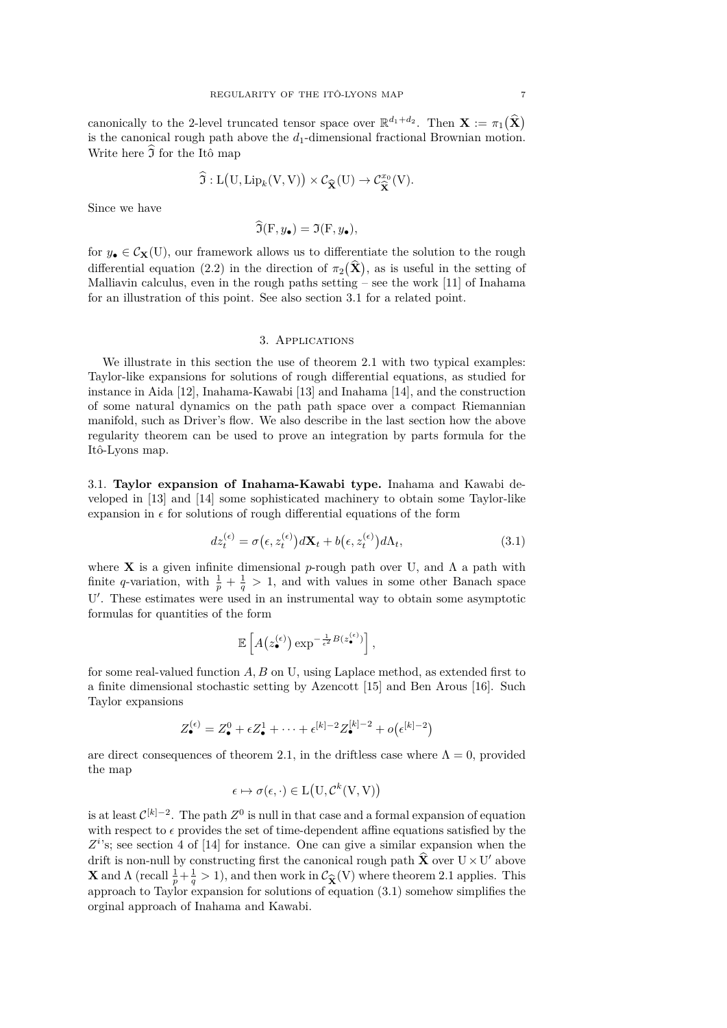canonically to the 2-level truncated tensor space over  $\mathbb{R}^{d_1+d_2}$ . Then  $\mathbf{X} := \pi_1(\hat{\mathbf{X}})$ is the canonical rough path above the  $d_1$ -dimensional fractional Brownian motion. Write here  $\widehat{J}$  for the Itô map

$$
\widehat{\mathfrak{I}}: L(U, Lip_k(V, V)) \times C_{\widehat{\mathbf{X}}}(U) \to C_{\widehat{\mathbf{X}}}^{x_0}(V).
$$

Since we have

$$
\mathfrak{I}(\mathbf{F}, y_{\bullet}) = \mathfrak{I}(\mathbf{F}, y_{\bullet}),
$$

for  $y_{\bullet} \in C_{\mathbf{X}}(U)$ , our framework allows us to differentiate the solution to the rough differential equation [\(2.2\)](#page-2-3) in the direction of  $\pi_2(\mathbf{X})$ , as is useful in the setting of Malliavin calculus, even in the rough paths setting  $-$  see the work [\[11\]](#page-9-10) of Inahama for an illustration of this point. See also section [3.1](#page-5-0) for a related point.

## 3. Applications

We illustrate in this section the use of theorem [2.1](#page-3-0) with two typical examples: Taylor-like expansions for solutions of rough differential equations, as studied for instance in Aida [\[12\]](#page-9-11), Inahama-Kawabi [\[13\]](#page-9-3) and Inahama [\[14\]](#page-9-12), and the construction of some natural dynamics on the path path space over a compact Riemannian manifold, such as Driver's flow. We also describe in the last section how the above regularity theorem can be used to prove an integration by parts formula for the Itô-Lyons map.

<span id="page-5-0"></span>3.1. **Taylor expansion of Inahama-Kawabi type.** Inahama and Kawabi developed in [\[13\]](#page-9-3) and [\[14\]](#page-9-12) some sophisticated machinery to obtain some Taylor-like expansion in  $\epsilon$  for solutions of rough differential equations of the form

<span id="page-5-1"></span>
$$
dz_t^{(\epsilon)} = \sigma(\epsilon, z_t^{(\epsilon)})d\mathbf{X}_t + b(\epsilon, z_t^{(\epsilon)})d\Lambda_t, \tag{3.1}
$$

where **X** is a given infinite dimensional *p*-rough path over U, and  $\Lambda$  a path with finite *q*-variation, with  $\frac{1}{p} + \frac{1}{q} > 1$ , and with values in some other Banach space U'. These estimates were used in an instrumental way to obtain some asymptotic formulas for quantities of the form

$$
\mathbb{E}\left[A\big(z_{\bullet}^{(\epsilon)}\big) \exp^{-\frac{1}{\epsilon^2}B(z_{\bullet}^{(\epsilon)})}\right],
$$

for some real-valued function *A, B* on U, using Laplace method, as extended first to a finite dimensional stochastic setting by Azencott [\[15\]](#page-9-13) and Ben Arous [\[16\]](#page-9-14). Such Taylor expansions

$$
Z_{\bullet}^{(\epsilon)} = Z_{\bullet}^0 + \epsilon Z_{\bullet}^1 + \cdots + \epsilon^{[k]-2} Z_{\bullet}^{[k]-2} + o(\epsilon^{[k]-2})
$$

are direct consequences of theorem [2.1,](#page-3-0) in the driftless case where  $\Lambda = 0$ , provided the map

$$
\epsilon \mapsto \sigma(\epsilon, \cdot) \in L(U, \mathcal{C}^k(V, V))
$$

is at least  $\mathcal{C}^{[k]-2}$ . The path  $Z^0$  is null in that case and a formal expansion of equation with respect to  $\epsilon$  provides the set of time-dependent affine equations satisfied by the  $Z^{i}$ 's; see section 4 of [\[14\]](#page-9-12) for instance. One can give a similar expansion when the drift is non-null by constructing first the canonical rough path  $\hat{\mathbf{X}}$  over  $\mathbf{U} \times \mathbf{U}'$  above **X** and  $\Lambda$  (recall  $\frac{1}{p} + \frac{1}{q} > 1$ ), and then work in  $\mathcal{C}_{\widehat{\mathbf{X}}}(V)$  where theorem [2.1](#page-3-0) applies. This approach to Taylor expansion for solutions of equation (3.1) somehow simplifies the approach to Taylor expansion for solutions of equation  $(3.1)$  somehow simplifies the orginal approach of Inahama and Kawabi.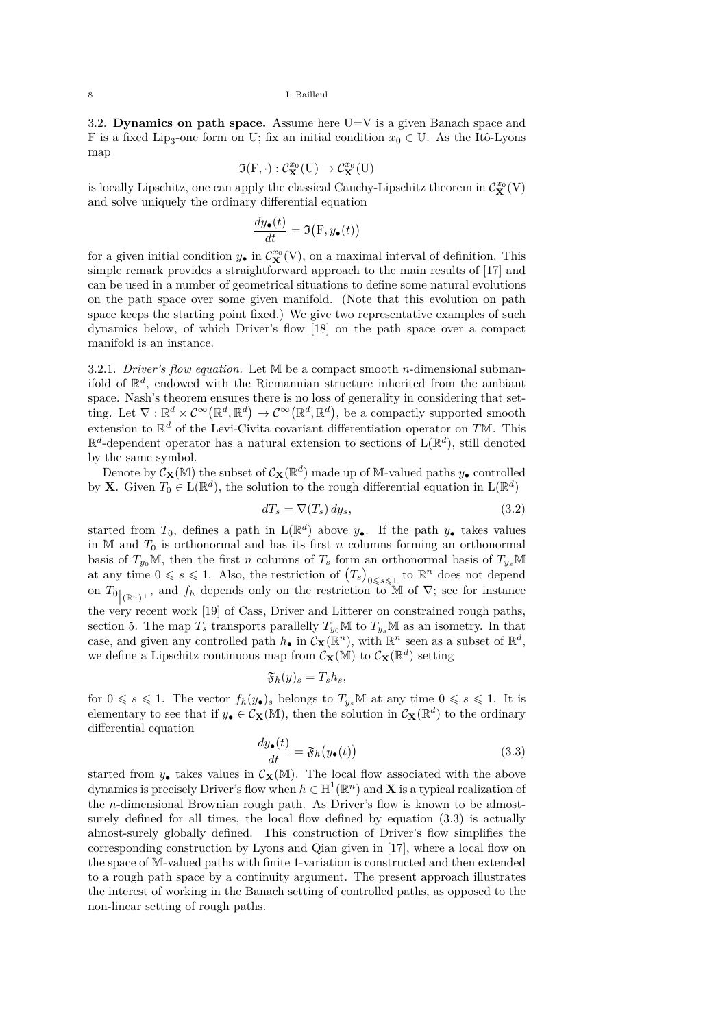<span id="page-6-0"></span>3.2. **Dynamics on path space.** Assume here U=V is a given Banach space and F is a fixed Lip<sub>3</sub>-one form on U; fix an initial condition  $x_0 \in U$ . As the Itô-Lyons map

$$
\mathfrak{I}(F,\cdot):\mathcal{C}_{\mathbf{X}}^{x_0}(U)\rightarrow\mathcal{C}_{\mathbf{X}}^{x_0}(U)
$$

is locally Lipschitz, one can apply the classical Cauchy-Lipschitz theorem in  $\mathcal{C}^{x_0}_{\mathbf{X}}(V)$ and solve uniquely the ordinary differential equation

$$
\frac{dy_{\bullet}(t)}{dt} = \Im{\left(\mathbf{F}, y_{\bullet}(t)\right)}
$$

for a given initial condition  $y_{\bullet}$  in  $\mathcal{C}_{\mathbf{X}}^{x_0}(V)$ , on a maximal interval of definition. This simple remark provides a straightforward approach to the main results of [\[17\]](#page-9-15) and can be used in a number of geometrical situations to define some natural evolutions on the path space over some given manifold. (Note that this evolution on path space keeps the starting point fixed.) We give two representative examples of such dynamics below, of which Driver's flow [\[18\]](#page-9-16) on the path space over a compact manifold is an instance.

3.2.1. *Driver's flow equation.* Let M be a compact smooth *n*-dimensional submanifold of  $\mathbb{R}^d$ , endowed with the Riemannian structure inherited from the ambiant space. Nash's theorem ensures there is no loss of generality in considering that setting. Let  $\nabla : \mathbb{R}^d \times C^\infty(\mathbb{R}^d, \mathbb{R}^d) \to C^\infty(\mathbb{R}^d, \mathbb{R}^d)$ , be a compactly supported smooth extension to R *<sup>d</sup>* of the Levi-Civita covariant differentiation operator on *T*M. This  $\mathbb{R}^d$ -dependent operator has a natural extension to sections of  $L(\mathbb{R}^d)$ , still denoted by the same symbol.

Denote by  $\mathcal{C}_{\mathbf{X}}(\mathbb{M})$  the subset of  $\mathcal{C}_{\mathbf{X}}(\mathbb{R}^d)$  made up of M-valued paths  $y_{\bullet}$  controlled by **X**. Given  $T_0 \in L(\mathbb{R}^d)$ , the solution to the rough differential equation in  $L(\mathbb{R}^d)$ 

<span id="page-6-2"></span>
$$
dT_s = \nabla(T_s) \, dy_s,\tag{3.2}
$$

started from  $T_0$ , defines a path in  $L(\mathbb{R}^d)$  above  $y_{\bullet}$ . If the path  $y_{\bullet}$  takes values in  $M$  and  $T_0$  is orthonormal and has its first  $n$  columns forming an orthonormal basis of  $T_{y_0}M$ , then the first *n* columns of  $T_s$  form an orthonormal basis of  $T_{y_s}M$ at any time  $0 \le s \le 1$ . Also, the restriction of  $(T_s)_{0 \le s \le 1}$  to  $\mathbb{R}^n$  does not depend on  $T_0|_{(\mathbb{R}^n)^{\perp}}$ , and  $f_h$  depends only on the restriction to M of  $\nabla$ ; see for instance the very recent work [\[19\]](#page-9-17) of Cass, Driver and Litterer on constrained rough paths, section 5. The map  $T_s$  transports parallelly  $T_{y_0} \mathbb{M}$  to  $T_{y_s} \mathbb{M}$  as an isometry. In that case, and given any controlled path  $h_{\bullet}$  in  $\mathcal{C}_{\mathbf{X}}(\mathbb{R}^n)$ , with  $\mathbb{R}^n$  seen as a subset of  $\mathbb{R}^d$ , we define a Lipschitz continuous map from  $\mathcal{C}_{\mathbf{X}}(\mathbb{M})$  to  $\mathcal{C}_{\mathbf{X}}(\mathbb{R}^d)$  setting

$$
\mathfrak{F}_h(y)_s=T_sh_s,
$$

for  $0 \le s \le 1$ . The vector  $f_h(y_\bullet)_s$  belongs to  $T_{y_s}M$  at any time  $0 \le s \le 1$ . It is elementary to see that if  $y_{\bullet} \in C_{\mathbf{X}}(\mathbb{M})$ , then the solution in  $C_{\mathbf{X}}(\mathbb{R}^d)$  to the ordinary differential equation

<span id="page-6-1"></span>
$$
\frac{dy_{\bullet}(t)}{dt} = \mathfrak{F}_h(y_{\bullet}(t))
$$
\n(3.3)

started from  $y_{\bullet}$  takes values in  $\mathcal{C}_{\mathbf{X}}(\mathbb{M})$ . The local flow associated with the above dynamics is precisely Driver's flow when  $h \in H^1(\mathbb{R}^n)$  and **X** is a typical realization of the *n*-dimensional Brownian rough path. As Driver's flow is known to be almostsurely defined for all times, the local flow defined by equation [\(3.3\)](#page-6-1) is actually almost-surely globally defined. This construction of Driver's flow simplifies the corresponding construction by Lyons and Qian given in [\[17\]](#page-9-15), where a local flow on the space of M-valued paths with finite 1-variation is constructed and then extended to a rough path space by a continuity argument. The present approach illustrates the interest of working in the Banach setting of controlled paths, as opposed to the non-linear setting of rough paths.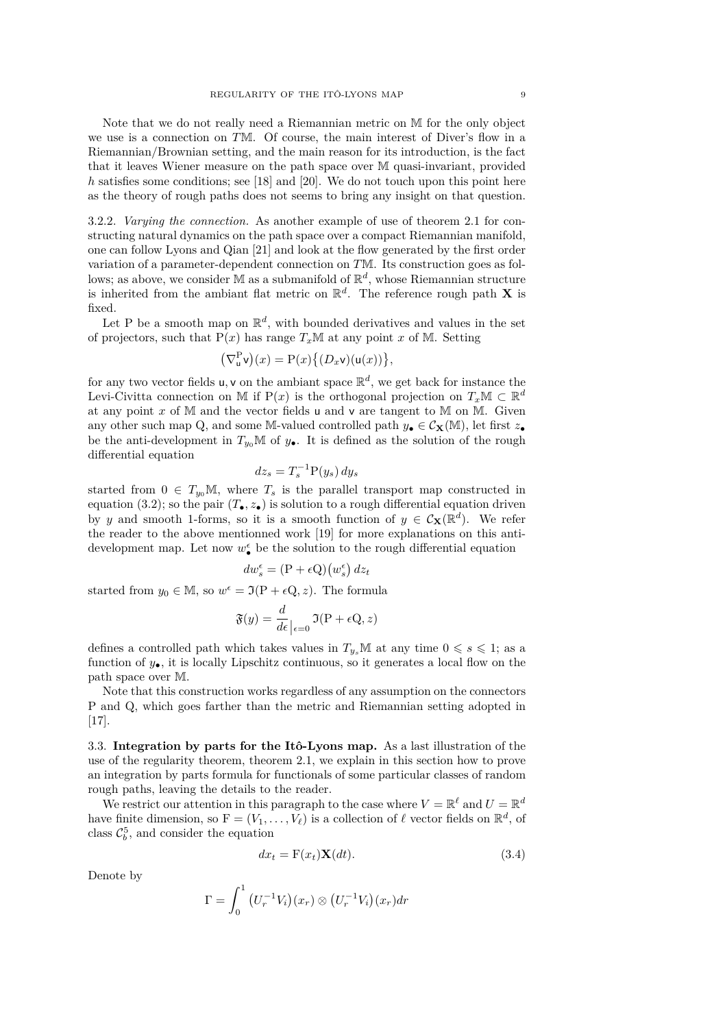Note that we do not really need a Riemannian metric on M for the only object we use is a connection on *T*M. Of course, the main interest of Diver's flow in a Riemannian/Brownian setting, and the main reason for its introduction, is the fact that it leaves Wiener measure on the path space over M quasi-invariant, provided *h* satisfies some conditions; see [\[18\]](#page-9-16) and [\[20\]](#page-9-18). We do not touch upon this point here as the theory of rough paths does not seems to bring any insight on that question.

3.2.2. *Varying the connection.* As another example of use of theorem [2.1](#page-3-0) for constructing natural dynamics on the path space over a compact Riemannian manifold, one can follow Lyons and Qian [\[21\]](#page-9-19) and look at the flow generated by the first order variation of a parameter-dependent connection on *T*M. Its construction goes as follows; as above, we consider  $M$  as a submanifold of  $\mathbb{R}^d$ , whose Riemannian structure is inherited from the ambiant flat metric on  $\mathbb{R}^d$ . The reference rough path **X** is fixed.

Let P be a smooth map on  $\mathbb{R}^d$ , with bounded derivatives and values in the set of projectors, such that  $P(x)$  has range  $T_xM$  at any point *x* of M. Setting

$$
(\nabla^{\mathcal{P}}_{\mathsf{u}}\mathsf{v})(x)=\mathcal{P}(x)\big\{(\mathcal{D}_x\mathsf{v})(\mathsf{u}(x))\big\},\,
$$

for any two vector fields  $u, v$  on the ambiant space  $\mathbb{R}^d$ , we get back for instance the Levi-Civitta connection on M if  $P(x)$  is the orthogonal projection on  $T_xM \subset \mathbb{R}^d$ at any point  $x$  of M and the vector fields u and v are tangent to M on M. Given any other such map Q, and some M-valued controlled path  $y_{\bullet} \in C_{\mathbf{X}}(\mathbb{M})$ , let first  $z_{\bullet}$ be the anti-development in  $T_{y_0}$ M of  $y_{\bullet}$ . It is defined as the solution of the rough differential equation

$$
dz_s = T_s^{-1} P(y_s) dy_s
$$

started from  $0 \in T_{y_0}M$ , where  $T_s$  is the parallel transport map constructed in equation [\(3.2\)](#page-6-2); so the pair  $(T_{\bullet}, z_{\bullet})$  is solution to a rough differential equation driven by *y* and smooth 1-forms, so it is a smooth function of  $y \in C_{\mathbf{X}}(\mathbb{R}^d)$ . We refer the reader to the above mentionned work [\[19\]](#page-9-17) for more explanations on this antidevelopment map. Let now  $w_{\bullet}^{\epsilon}$  be the solution to the rough differential equation

$$
dw_s^{\epsilon} = (\mathbf{P} + \epsilon \mathbf{Q})(w_s^{\epsilon}) dz_t
$$

started from  $y_0 \in M$ , so  $w^{\epsilon} = \Im(P + \epsilon Q, z)$ . The formula

$$
\mathfrak{F}(y) = \frac{d}{d\epsilon}\Big|_{\epsilon=0} \mathfrak{I}(\mathrm{P} + \epsilon \mathrm{Q}, z)
$$

defines a controlled path which takes values in  $T_{y_s}M$  at any time  $0 \le s \le 1$ ; as a function of *y*•, it is locally Lipschitz continuous, so it generates a local flow on the path space over M.

Note that this construction works regardless of any assumption on the connectors P and Q, which goes farther than the metric and Riemannian setting adopted in [\[17\]](#page-9-15).

3.3. **Integration by parts for the Itô-Lyons map.** As a last illustration of the use of the regularity theorem, theorem [2.1,](#page-3-0) we explain in this section how to prove an integration by parts formula for functionals of some particular classes of random rough paths, leaving the details to the reader.

We restrict our attention in this paragraph to the case where  $V = \mathbb{R}^{\ell}$  and  $U = \mathbb{R}^{d}$ have finite dimension, so  $F = (V_1, \ldots, V_\ell)$  is a collection of  $\ell$  vector fields on  $\mathbb{R}^d$ , of class  $\mathcal{C}_b^5$ , and consider the equation

<span id="page-7-0"></span>
$$
dx_t = \mathbf{F}(x_t)\mathbf{X}(dt). \tag{3.4}
$$

Denote by

$$
\Gamma = \int_0^1 \left( U_r^{-1} V_i \right) (x_r) \otimes \left( U_r^{-1} V_i \right) (x_r) dr
$$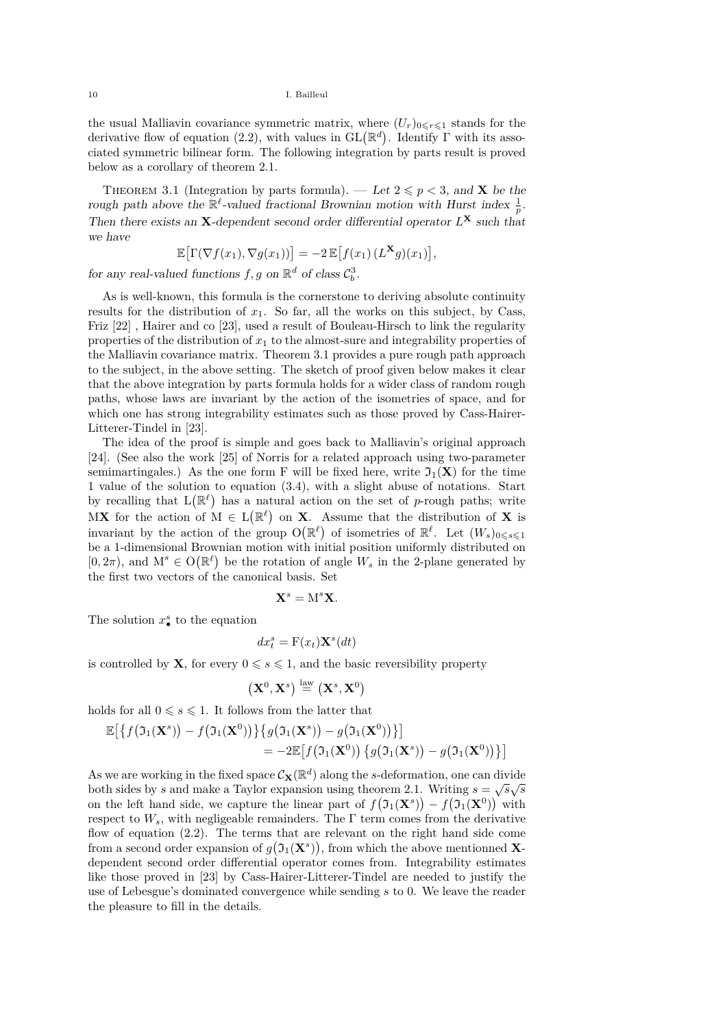the usual Malliavin covariance symmetric matrix, where  $(U_r)_{0 \leq r \leq 1}$  stands for the derivative flow of equation [\(2.2\)](#page-2-3), with values in  $GL(\mathbb{R}^d)$ . Identify  $\Gamma$  with its associated symmetric bilinear form. The following integration by parts result is proved below as a corollary of theorem [2.1.](#page-3-0)

<span id="page-8-0"></span>THEOREM 3.1 (Integration by parts formula). — Let  $2 \leq p < 3$ , and **X** be the rough path above the  $\mathbb{R}^{\ell}$ -valued fractional Brownian motion with Hurst index  $\frac{1}{p}$ . Then there exists an **X**-dependent second order differential operator  $L^{\mathbf{X}}$  such that we have

$$
\mathbb{E}\big[\Gamma(\nabla f(x_1), \nabla g(x_1))\big] = -2 \mathbb{E}\big[f(x_1)\left(L^{\mathbf{X}}g\right)(x_1)\big],
$$

for any real-valued functions  $f, g$  on  $\mathbb{R}^d$  of class  $C_b^3$ .

As is well-known, this formula is the cornerstone to deriving absolute continuity results for the distribution of  $x_1$ . So far, all the works on this subject, by Cass, Friz [\[22\]](#page-9-20) , Hairer and co [\[23\]](#page-9-21), used a result of Bouleau-Hirsch to link the regularity properties of the distribution of  $x_1$  to the almost-sure and integrability properties of the Malliavin covariance matrix. Theorem [3.1](#page-8-0) provides a pure rough path approach to the subject, in the above setting. The sketch of proof given below makes it clear that the above integration by parts formula holds for a wider class of random rough paths, whose laws are invariant by the action of the isometries of space, and for which one has strong integrability estimates such as those proved by Cass-Hairer-Litterer-Tindel in [\[23\]](#page-9-21).

The idea of the proof is simple and goes back to Malliavin's original approach [\[24\]](#page-9-22). (See also the work [\[25\]](#page-9-23) of Norris for a related approach using two-parameter semimartingales.) As the one form F will be fixed here, write  $\mathfrak{I}_1(\mathbf{X})$  for the time 1 value of the solution to equation [\(3.4\)](#page-7-0), with a slight abuse of notations. Start by recalling that  $L(\mathbb{R}^{\ell})$  has a natural action on the set of *p*-rough paths; write MX for the action of  $M \in L(\mathbb{R}^{\ell})$  on X. Assume that the distribution of X is invariant by the action of the group  $O(\mathbb{R}^{\ell})$  of isometries of  $\mathbb{R}^{\ell}$ . Let  $(W_s)_{0 \leq s \leq 1}$ be a 1-dimensional Brownian motion with initial position uniformly distributed on  $[0, 2\pi)$ , and  $M^s \in O(\mathbb{R}^{\ell})$  be the rotation of angle  $W_s$  in the 2-plane generated by the first two vectors of the canonical basis. Set

$$
\mathbf{X}^s=\mathbf{M}^s\mathbf{X}.
$$

The solution  $x^s$  to the equation

$$
dx_t^s = \mathbf{F}(x_t) \mathbf{X}^s(dt)
$$

is controlled by **X**, for every  $0 \le s \le 1$ , and the basic reversibility property

$$
(\mathbf{X}^0, \mathbf{X}^s) \stackrel{\text{law}}{=} (\mathbf{X}^s, \mathbf{X}^0)
$$

holds for all  $0\leqslant s\leqslant 1.$  It follows from the latter that

$$
\mathbb{E}[\{f(\mathfrak{I}_1(\mathbf{X}^s)) - f(\mathfrak{I}_1(\mathbf{X}^0))\} \{g(\mathfrak{I}_1(\mathbf{X}^s)) - g(\mathfrak{I}_1(\mathbf{X}^0))\}\}]
$$
  
= -2 $\mathbb{E}[f(\mathfrak{I}_1(\mathbf{X}^0)) \{g(\mathfrak{I}_1(\mathbf{X}^s)) - g(\mathfrak{I}_1(\mathbf{X}^0))\}\]$ 

As we are working in the fixed space  $\mathcal{C}_{\mathbf{X}}(\mathbb{R}^d)$  along the *s*-deformation, one can divide both sides by *s* and make a Taylor expansion using theorem [2.1.](#page-3-0) Writing  $s = \sqrt{s}\sqrt{s}$ on the left hand side, we capture the linear part of  $f(\mathfrak{I}_1(\mathbf{X}^s)) - f(\mathfrak{I}_1(\mathbf{X}^0))$  with respect to  $W_s$ , with negligeable remainders. The  $\Gamma$  term comes from the derivative flow of equation [\(2.2\)](#page-2-3). The terms that are relevant on the right hand side come from a second order expansion of  $g(\mathfrak{I}_1(\mathbf{X}^s))$ , from which the above mentionned **X**dependent second order differential operator comes from. Integrability estimates like those proved in [\[23\]](#page-9-21) by Cass-Hairer-Litterer-Tindel are needed to justify the use of Lebesgue's dominated convergence while sending *s* to 0. We leave the reader the pleasure to fill in the details.